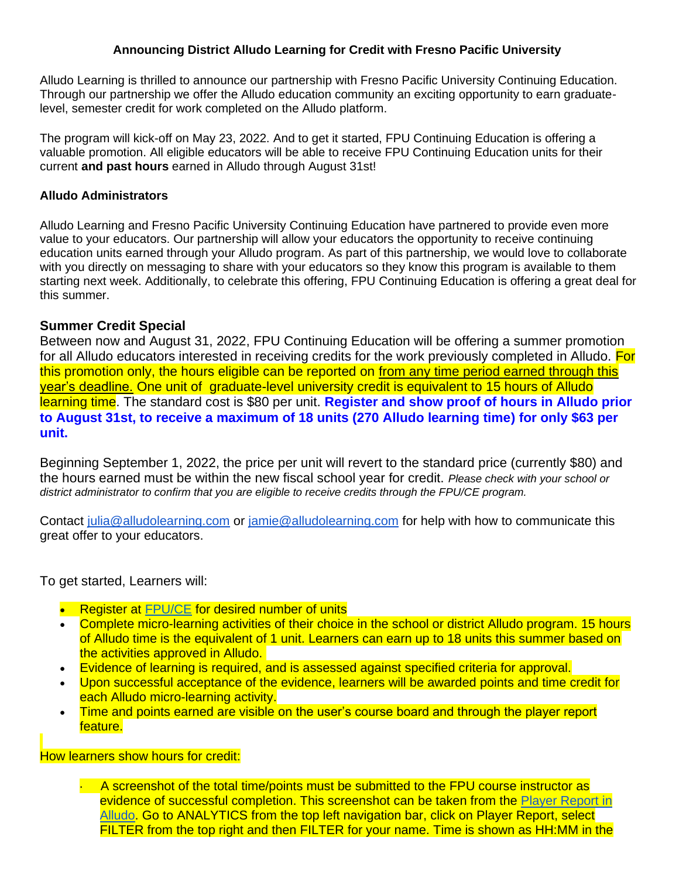#### **Announcing District Alludo Learning for Credit with Fresno Pacific University**

Alludo Learning is thrilled to announce our partnership with Fresno Pacific University Continuing Education. Through our partnership we offer the Alludo education community an exciting opportunity to earn graduatelevel, semester credit for work completed on the Alludo platform.

The program will kick-off on May 23, 2022. And to get it started, FPU Continuing Education is offering a valuable promotion. All eligible educators will be able to receive FPU Continuing Education units for their current **and past hours** earned in Alludo through August 31st!

#### **Alludo Administrators**

Alludo Learning and Fresno Pacific University Continuing Education have partnered to provide even more value to your educators. Our partnership will allow your educators the opportunity to receive continuing education units earned through your Alludo program. As part of this partnership, we would love to collaborate with you directly on messaging to share with your educators so they know this program is available to them starting next week. Additionally, to celebrate this offering, FPU Continuing Education is offering a great deal for this summer.

#### **Summer Credit Special**

Between now and August 31, 2022, FPU Continuing Education will be offering a summer promotion for all Alludo educators interested in receiving credits for the work previously completed in Alludo. For this promotion only, the hours eligible can be reported on from any time period earned through this year's deadline. One unit of graduate-level university credit is equivalent to 15 hours of Alludo learning time. The standard cost is \$80 per unit. **Register and show proof of hours in Alludo prior to August 31st, to receive a maximum of 18 units (270 Alludo learning time) for only \$63 per unit.**

Beginning September 1, 2022, the price per unit will revert to the standard price (currently \$80) and the hours earned must be within the new fiscal school year for credit. *Please check with your school or district administrator to confirm that you are eligible to receive credits through the FPU/CE program.*

Contact [julia@alludolearning.com](mailto:julia@alludolearning.com) or [jamie@alludolearning.com](mailto:jamie@alludolearning.com) for help with how to communicate this great offer to your educators.

To get started, Learners will:

- Register at [FPU/CE](https://ce.fresno.edu/educator-workshops/district-organization-workshops/alludo-learning/) for desired number of units
- Complete micro-learning activities of their choice in the school or district Alludo program. 15 hours of Alludo time is the equivalent of 1 unit. Learners can earn up to 18 units this summer based on the activities approved in Alludo.
- Evidence of learning is required, and is assessed against specified criteria for approval.
- Upon successful acceptance of the evidence, learners will be awarded points and time credit for each Alludo micro-learning activity.
- Time and points earned are visible on the user's course board and through the player report feature.

How learners show hours for credit:

 $\cdot$  A screenshot of the total time/points must be submitted to the FPU course instructor as evidence of successful completion. This screenshot can be taken from the [Player Report in](https://help.alludolearning.com/article/83-players-report)  [Alludo.](https://help.alludolearning.com/article/83-players-report) Go to ANALYTICS from the top left navigation bar, click on Player Report, select FILTER from the top right and then FILTER for your name. Time is shown as HH:MM in the